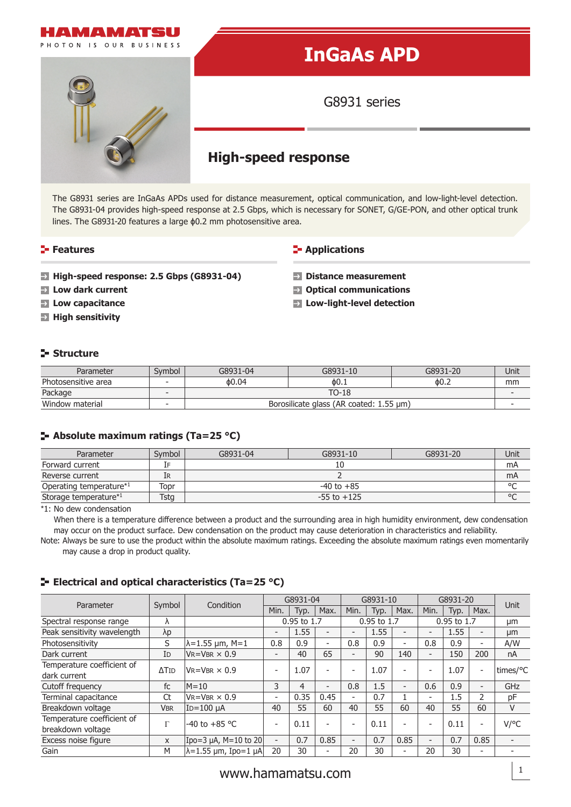

The G8931 series are InGaAs APDs used for distance measurement, optical communication, and low-light-level detection. The G8931-04 provides high-speed response at 2.5 Gbps, which is necessary for SONET, G/GE-PON, and other optical trunk lines. The G8931-20 features a large ϕ0.2 mm photosensitive area.

# **Features**

#### **E-** Applications

- **High-speed response: 2.5 Gbps (G8931-04)**
- **Low dark current**
- **Low capacitance**
- **High sensitivity**
- **Distance measurement**
- **Optical communications**
- **Low-light-level detection**

## **Structure**

| Parameter           | Svmbol                   | G8931-04                                | G8931-10 | G8931-20 | Unit |  |  |  |
|---------------------|--------------------------|-----------------------------------------|----------|----------|------|--|--|--|
| Photosensitive area | $\overline{\phantom{a}}$ | 0.04                                    | ዕ0.⊥     | 60.2     | mm   |  |  |  |
| Package             | $\overline{\phantom{a}}$ | TO-18                                   |          |          |      |  |  |  |
| Window material     |                          | Borosilicate glass (AR coated: 1.55 µm) |          |          |      |  |  |  |

### **Absolute maximum ratings (Ta=25 °C)**

| Parameter                           | Symbol | G8931-04        | G8931-10<br>G8931-20 |  |  |  |  |
|-------------------------------------|--------|-----------------|----------------------|--|--|--|--|
| Forward current                     | IF     |                 |                      |  |  |  |  |
| Reverse current                     | IR     |                 |                      |  |  |  |  |
| Operating temperature <sup>*1</sup> | Topr   | $-40$ to $+85$  |                      |  |  |  |  |
| Storage temperature*1               | Tstg   | $-55$ to $+125$ |                      |  |  |  |  |

\*1: No dew condensation

When there is a temperature difference between a product and the surrounding area in high humidity environment, dew condensation may occur on the product surface. Dew condensation on the product may cause deterioration in characteristics and reliability.

Note: Always be sure to use the product within the absolute maximum ratings. Exceeding the absolute maximum ratings even momentarily may cause a drop in product quality.

# **E** Electrical and optical characteristics (Ta=25 °C)

| Parameter                   | Symbol       | Condition                 | G8931-04                 |      | G8931-10    |                          |             | G8931-20                 |                          |      | <b>Unit</b>              |                          |
|-----------------------------|--------------|---------------------------|--------------------------|------|-------------|--------------------------|-------------|--------------------------|--------------------------|------|--------------------------|--------------------------|
|                             |              |                           | Min.                     | Typ. | Max.        | Min.                     | Typ.        | Max.                     | Min.                     | Typ. | Max.                     |                          |
| Spectral response range     | Λ            |                           | 0.95 to 1.7              |      | 0.95 to 1.7 |                          | 0.95 to 1.7 |                          | μm                       |      |                          |                          |
| Peak sensitivity wavelength | λp           |                           | $\overline{a}$           | 1.55 |             | $\overline{\phantom{0}}$ | 1.55        |                          | $\overline{\phantom{0}}$ | 1.55 | $\overline{\phantom{a}}$ | μm                       |
| Photosensitivity            | S            | λ=1.55 μm, M=1            | 0.8                      | 0.9  | Ξ.          | 0.8                      | 0.9         | $\overline{\phantom{0}}$ | 0.8                      | 0.9  | $\overline{\phantom{a}}$ | A/W                      |
| Dark current                | ID           | $V_R = V_{BR} \times 0.9$ | $\overline{\phantom{a}}$ | 40   | 65          | $\overline{\phantom{0}}$ | 90          | 140                      | $\overline{\phantom{a}}$ | 150  | 200                      | nA                       |
| Temperature coefficient of  | $\Delta$ Tid | $V$ r=Vbr $\times$ 0.9    | $\overline{a}$           | 1.07 |             | $\overline{\phantom{a}}$ | 1.07        |                          | $\overline{\phantom{a}}$ | 1.07 | $\overline{\phantom{a}}$ | times/°C                 |
| dark current                |              |                           |                          |      |             |                          |             |                          |                          |      |                          |                          |
| Cutoff frequency            | fc           | $M = 10$                  | 3                        | 4    | Ξ.          | 0.8                      | 1.5         | $\overline{\phantom{a}}$ | 0.6                      | 0.9  | Ξ.                       | GHz                      |
| Terminal capacitance        | Ct           | $V_R = V_{BR} \times 0.9$ | $\overline{\phantom{a}}$ | 0.35 | 0.45        | $\overline{\phantom{a}}$ | 0.7         |                          | $\overline{\phantom{0}}$ | 1.5  | $\overline{2}$           | pF                       |
| Breakdown voltage           | <b>VBR</b>   | $ID=100 \mu A$            | 40                       | 55   | 60          | 40                       | 55          | 60                       | 40                       | 55   | 60                       | V                        |
| Temperature coefficient of  | $\Gamma$     | -40 to +85 $^{\circ}$ C   | $\overline{\phantom{a}}$ | 0.11 |             | $\overline{\phantom{a}}$ | 0.11        |                          | $\overline{\phantom{0}}$ | 0.11 | $\overline{\phantom{a}}$ | $V$ /°C                  |
| breakdown voltage           |              |                           |                          |      |             |                          |             |                          |                          |      |                          |                          |
| Excess noise figure         | X            | Ipo=3 $\mu$ A, M=10 to 20 | $\overline{\phantom{a}}$ | 0.7  | 0.85        | $\overline{\phantom{0}}$ | 0.7         | 0.85                     | $\overline{\phantom{a}}$ | 0.7  | 0.85                     | $\overline{\phantom{0}}$ |
| Gain                        | M            | λ=1.55 μm, Ipo=1 μA       | 20                       | 30   | ۰           | 20                       | 30          | -                        | 20                       | 30   | ۰                        |                          |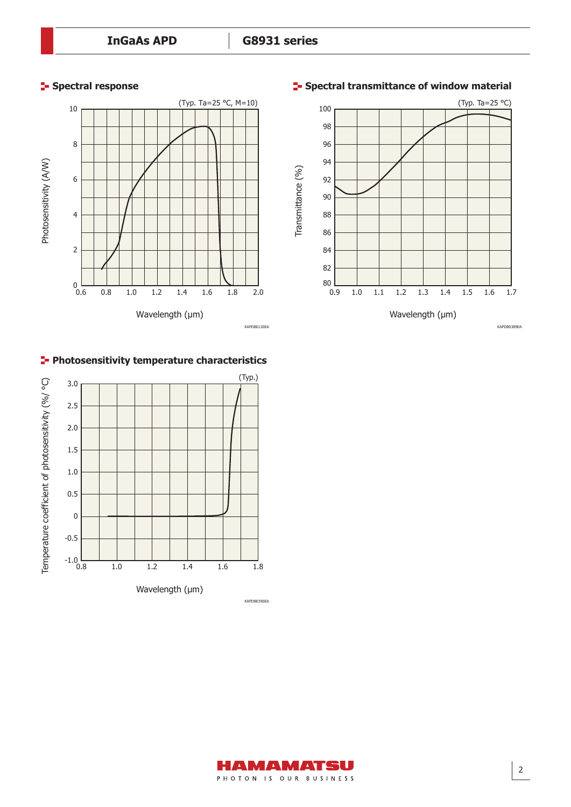





# **Photosensitivity temperature characteristics**



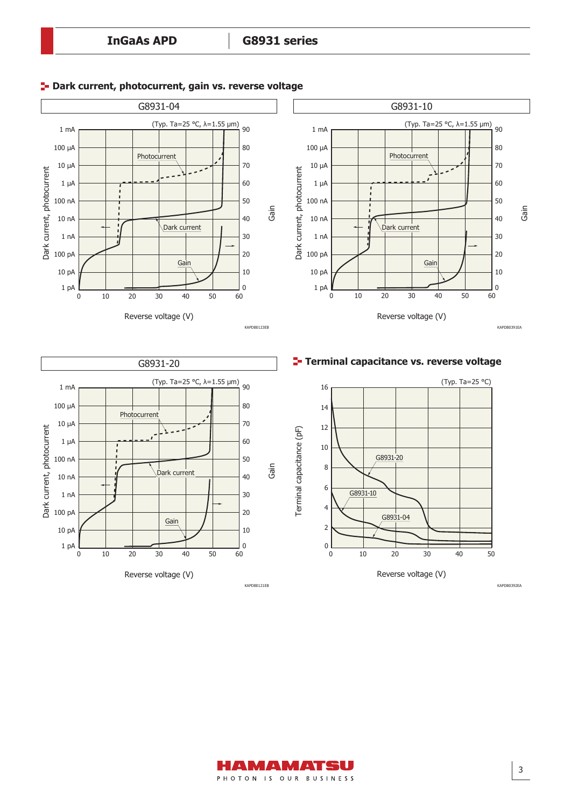

#### **<sup>1</sup>- Dark current, photocurrent, gain vs. reverse voltage**



3